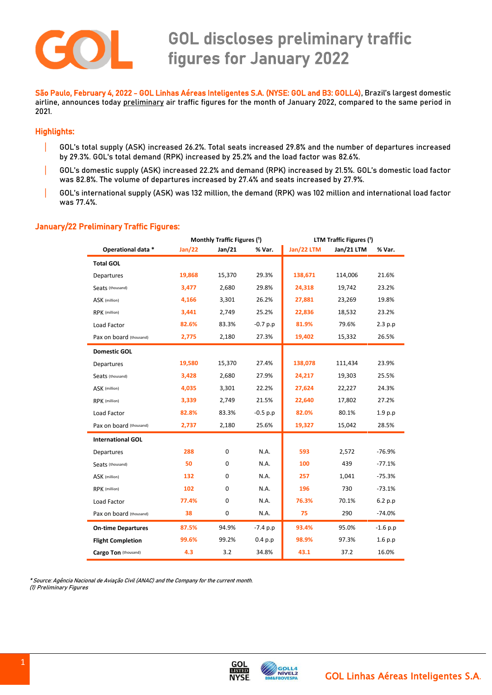

 São Paulo, February 4, 2022 - GOL Linhas Aéreas Inteligentes S.A. (NYSE: GOL and B3: GOLL4), Brazil's largest domestic airline, announces today preliminary air traffic figures for the month of January 2022, compared to the same period in 2021.

## Highlights:

- | GOL's total supply (ASK) increased 26.2%. Total seats increased 29.8% and the number of departures increased by 29.3%. GOL's total demand (RPK) increased by 25.2% and the load factor was 82.6%.
- | GOL's domestic supply (ASK) increased 22.2% and demand (RPK) increased by 21.5%. GOL's domestic load factor was 82.8%. The volume of departures increased by 27.4% and seats increased by 27.9%.
- | GOL's international supply (ASK) was 132 million, the demand (RPK) was 102 million and international load factor was 77.4%.

## January/22 Preliminary Traffic Figures:

|                           | Monthly Traffic Figures (1) |        |            | LTM Traffic Figures (1) |            |            |
|---------------------------|-----------------------------|--------|------------|-------------------------|------------|------------|
| Operational data *        | Jan/22                      | Jan/21 | % Var.     | Jan/22 LTM              | Jan/21 LTM | % Var.     |
| <b>Total GOL</b>          |                             |        |            |                         |            |            |
| Departures                | 19,868                      | 15,370 | 29.3%      | 138,671                 | 114,006    | 21.6%      |
| Seats (thousand)          | 3,477                       | 2,680  | 29.8%      | 24,318                  | 19,742     | 23.2%      |
| ASK (million)             | 4,166                       | 3,301  | 26.2%      | 27,881                  | 23,269     | 19.8%      |
| RPK (million)             | 3,441                       | 2,749  | 25.2%      | 22,836                  | 18,532     | 23.2%      |
| Load Factor               | 82.6%                       | 83.3%  | $-0.7 p.p$ | 81.9%                   | 79.6%      | 2.3 p.p    |
| Pax on board (thousand)   | 2,775                       | 2,180  | 27.3%      | 19,402                  | 15,332     | 26.5%      |
| <b>Domestic GOL</b>       |                             |        |            |                         |            |            |
| Departures                | 19,580                      | 15,370 | 27.4%      | 138,078                 | 111,434    | 23.9%      |
| Seats (thousand)          | 3,428                       | 2,680  | 27.9%      | 24,217                  | 19,303     | 25.5%      |
| ASK (million)             | 4,035                       | 3,301  | 22.2%      | 27,624                  | 22,227     | 24.3%      |
| RPK (million)             | 3,339                       | 2,749  | 21.5%      | 22,640                  | 17,802     | 27.2%      |
| Load Factor               | 82.8%                       | 83.3%  | $-0.5 p.p$ | 82.0%                   | 80.1%      | 1.9 p.p    |
| Pax on board (thousand)   | 2,737                       | 2,180  | 25.6%      | 19,327                  | 15,042     | 28.5%      |
| <b>International GOL</b>  |                             |        |            |                         |            |            |
| Departures                | 288                         | 0      | N.A.       | 593                     | 2,572      | $-76.9%$   |
| Seats (thousand)          | 50                          | 0      | N.A.       | 100                     | 439        | $-77.1%$   |
| ASK (million)             | 132                         | 0      | N.A.       | 257                     | 1,041      | $-75.3%$   |
| RPK (million)             | 102                         | 0      | N.A.       | 196                     | 730        | $-73.1%$   |
| Load Factor               | 77.4%                       | 0      | N.A.       | 76.3%                   | 70.1%      | 6.2 p.p    |
| Pax on board (thousand)   | 38                          | 0      | N.A.       | 75                      | 290        | $-74.0%$   |
| <b>On-time Departures</b> | 87.5%                       | 94.9%  | $-7.4 p.p$ | 93.4%                   | 95.0%      | $-1.6 p.p$ |
| <b>Flight Completion</b>  | 99.6%                       | 99.2%  | 0.4 p.p    | 98.9%                   | 97.3%      | 1.6 p.p    |
| Cargo Ton (thousand)      | 4.3                         | 3.2    | 34.8%      | 43.1                    | 37.2       | 16.0%      |

\* Source: Agência Nacional de Aviação Civil (ANAC) and the Company for the current month. (1) Preliminary Figures